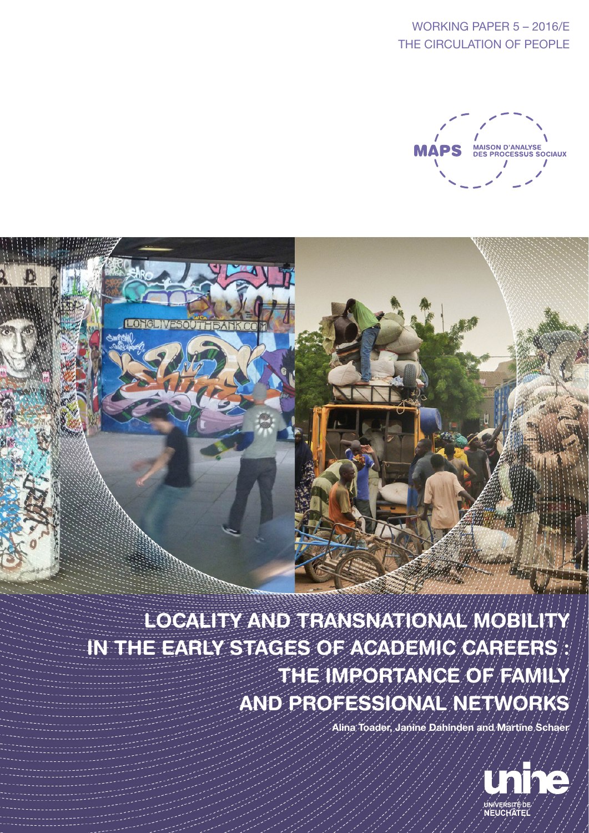WORKING PAPER 5 – 2016/E THE CIRCULATION OF PEOPLE



LOCALITY AND TRANSNATIONAL MOBILITY IN THE EARLY STAGES OF ACADEMIC CAREERS : THE IMPORTANCE OF FAMILY AND PROFESSIONAL NETWORKS

Alina Toader, Janine Dahinden and Martine Schaer

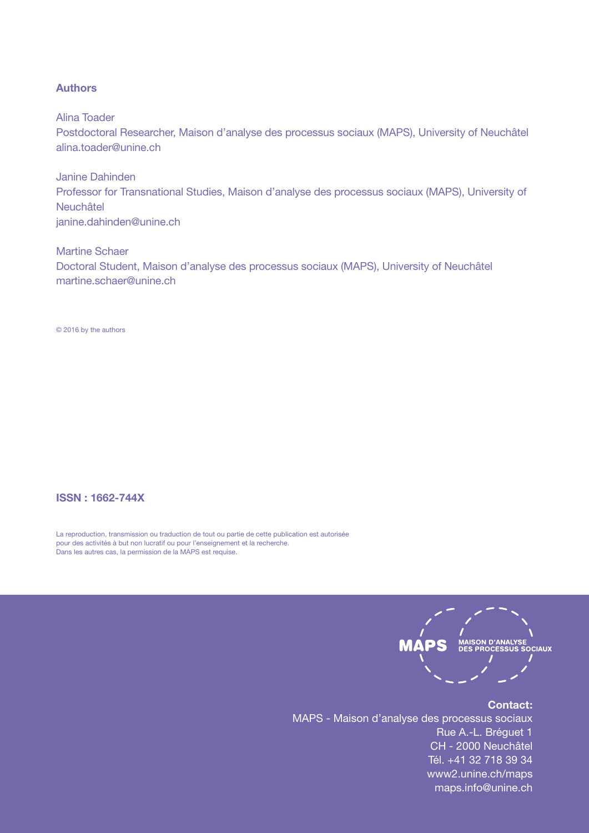### Authors

Alina Toader

Postdoctoral Researcher, Maison d'analyse des processus sociaux (MAPS), University of Neuchâtel alina.toader@unine.ch

Janine Dahinden Professor for Transnational Studies, Maison d'analyse des processus sociaux (MAPS), University of Neuchâtel janine.dahinden@unine.ch

Martine Schaer Doctoral Student, Maison d'analyse des processus sociaux (MAPS), University of Neuchâtel martine.schaer@unine.ch

© 2016 by the authors

### ISSN : 1662-744X

La reproduction, transmission ou traduction de tout ou partie de cette publication est autorisée pour des activités à but non lucratif ou pour l'enseignement et la recherche. Dans les autres cas, la permission de la MAPS est requise.



### Contact:

MAPS - Maison d'analyse des processus sociaux Rue A.-L. Bréguet 1 CH - 2000 Neuchâtel Tél. +41 32 718 39 34 www2.unine.ch/maps maps.info@unine.ch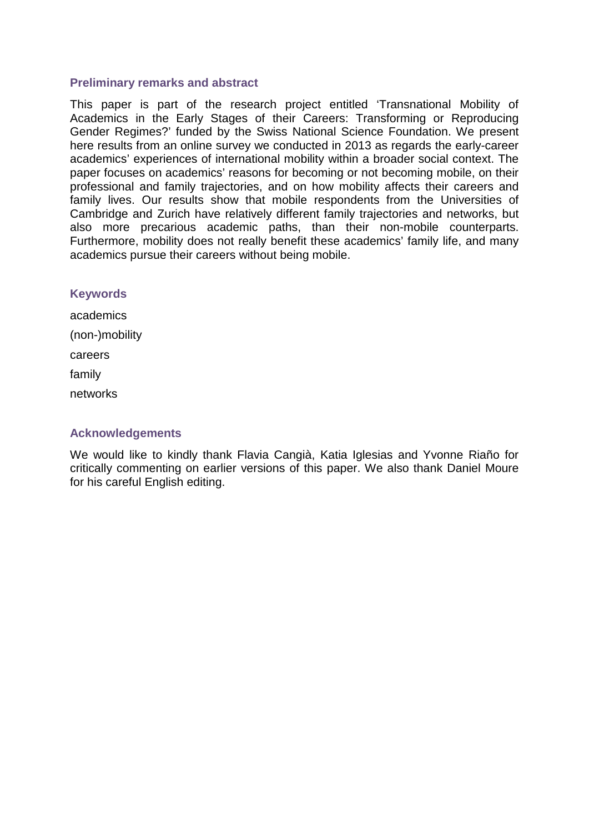## **Preliminary remarks and abstract**

This paper is part of the research project entitled 'Transnational Mobility of Academics in the Early Stages of their Careers: Transforming or Reproducing Gender Regimes?' funded by the Swiss National Science Foundation. We present here results from an online survey we conducted in 2013 as regards the early-career academics' experiences of international mobility within a broader social context. The paper focuses on academics' reasons for becoming or not becoming mobile, on their professional and family trajectories, and on how mobility affects their careers and family lives. Our results show that mobile respondents from the Universities of Cambridge and Zurich have relatively different family trajectories and networks, but also more precarious academic paths, than their non-mobile counterparts. Furthermore, mobility does not really benefit these academics' family life, and many academics pursue their careers without being mobile.

## **Keywords**

academics (non-)mobility careers family networks

# **Acknowledgements**

We would like to kindly thank Flavia Cangià, Katia Iglesias and Yvonne Riaño for critically commenting on earlier versions of this paper. We also thank Daniel Moure for his careful English editing.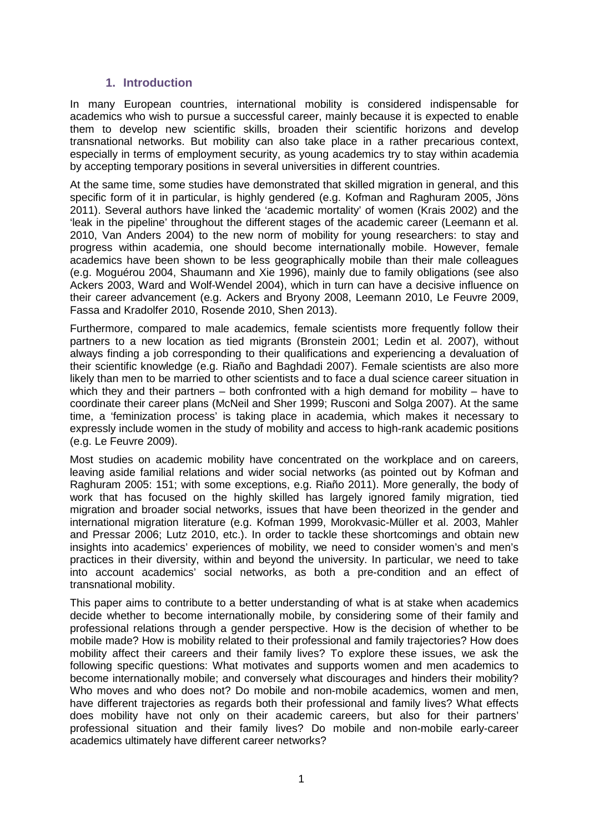## **1. Introduction**

In many European countries, international mobility is considered indispensable for academics who wish to pursue a successful career, mainly because it is expected to enable them to develop new scientific skills, broaden their scientific horizons and develop transnational networks. But mobility can also take place in a rather precarious context, especially in terms of employment security, as young academics try to stay within academia by accepting temporary positions in several universities in different countries.

At the same time, some studies have demonstrated that skilled migration in general, and this specific form of it in particular, is highly gendered (e.g. Kofman and Raghuram 2005, Jöns 2011). Several authors have linked the 'academic mortality' of women (Krais 2002) and the 'leak in the pipeline' throughout the different stages of the academic career (Leemann et al. 2010, Van Anders 2004) to the new norm of mobility for young researchers: to stay and progress within academia, one should become internationally mobile. However, female academics have been shown to be less geographically mobile than their male colleagues (e.g. Moguérou 2004, Shaumann and Xie 1996), mainly due to family obligations (see also Ackers 2003, Ward and Wolf-Wendel 2004), which in turn can have a decisive influence on their career advancement (e.g. Ackers and Bryony 2008, Leemann 2010, Le Feuvre 2009, Fassa and Kradolfer 2010, Rosende 2010, Shen 2013).

Furthermore, compared to male academics, female scientists more frequently follow their partners to a new location as tied migrants (Bronstein 2001; Ledin et al. 2007), without always finding a job corresponding to their qualifications and experiencing a devaluation of their scientific knowledge (e.g. Riaño and Baghdadi 2007). Female scientists are also more likely than men to be married to other scientists and to face a dual science career situation in which they and their partners – both confronted with a high demand for mobility – have to coordinate their career plans (McNeil and Sher 1999; Rusconi and Solga 2007). At the same time, a 'feminization process' is taking place in academia, which makes it necessary to expressly include women in the study of mobility and access to high-rank academic positions (e.g. Le Feuvre 2009).

Most studies on academic mobility have concentrated on the workplace and on careers, leaving aside familial relations and wider social networks (as pointed out by Kofman and Raghuram 2005: 151; with some exceptions, e.g. Riaño 2011). More generally, the body of work that has focused on the highly skilled has largely ignored family migration, tied migration and broader social networks, issues that have been theorized in the gender and international migration literature (e.g. Kofman 1999, Morokvasic-Müller et al. 2003, Mahler and Pressar 2006; Lutz 2010, etc.). In order to tackle these shortcomings and obtain new insights into academics' experiences of mobility, we need to consider women's and men's practices in their diversity, within and beyond the university. In particular, we need to take into account academics' social networks, as both a pre-condition and an effect of transnational mobility.

This paper aims to contribute to a better understanding of what is at stake when academics decide whether to become internationally mobile, by considering some of their family and professional relations through a gender perspective. How is the decision of whether to be mobile made? How is mobility related to their professional and family trajectories? How does mobility affect their careers and their family lives? To explore these issues, we ask the following specific questions: What motivates and supports women and men academics to become internationally mobile; and conversely what discourages and hinders their mobility? Who moves and who does not? Do mobile and non-mobile academics, women and men, have different trajectories as regards both their professional and family lives? What effects does mobility have not only on their academic careers, but also for their partners' professional situation and their family lives? Do mobile and non-mobile early-career academics ultimately have different career networks?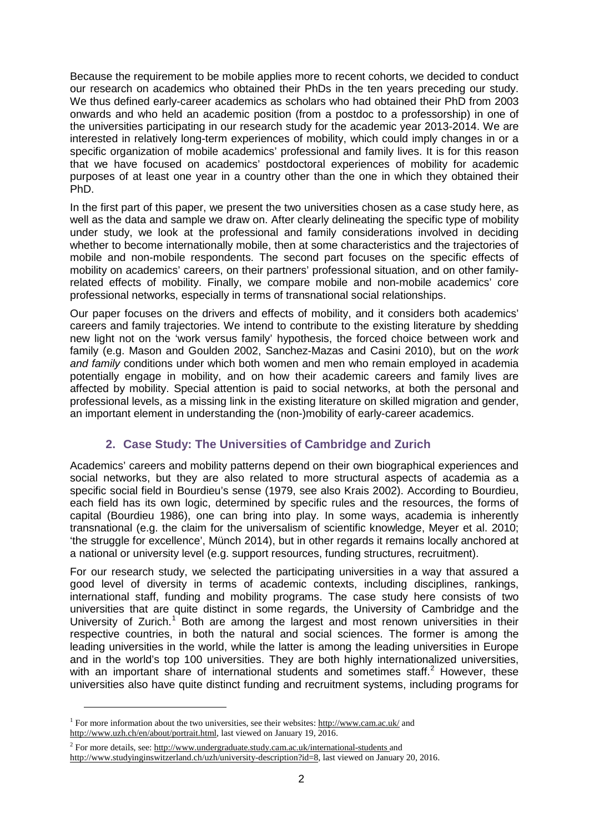Because the requirement to be mobile applies more to recent cohorts, we decided to conduct our research on academics who obtained their PhDs in the ten years preceding our study. We thus defined early-career academics as scholars who had obtained their PhD from 2003 onwards and who held an academic position (from a postdoc to a professorship) in one of the universities participating in our research study for the academic year 2013-2014. We are interested in relatively long-term experiences of mobility, which could imply changes in or a specific organization of mobile academics' professional and family lives. It is for this reason that we have focused on academics' postdoctoral experiences of mobility for academic purposes of at least one year in a country other than the one in which they obtained their PhD.

In the first part of this paper, we present the two universities chosen as a case study here, as well as the data and sample we draw on. After clearly delineating the specific type of mobility under study, we look at the professional and family considerations involved in deciding whether to become internationally mobile, then at some characteristics and the trajectories of mobile and non-mobile respondents. The second part focuses on the specific effects of mobility on academics' careers, on their partners' professional situation, and on other familyrelated effects of mobility. Finally, we compare mobile and non-mobile academics' core professional networks, especially in terms of transnational social relationships.

Our paper focuses on the drivers and effects of mobility, and it considers both academics' careers and family trajectories. We intend to contribute to the existing literature by shedding new light not on the 'work versus family' hypothesis, the forced choice between work and family (e.g. Mason and Goulden 2002, Sanchez-Mazas and Casini 2010), but on the *work and family* conditions under which both women and men who remain employed in academia potentially engage in mobility, and on how their academic careers and family lives are affected by mobility. Special attention is paid to social networks, at both the personal and professional levels, as a missing link in the existing literature on skilled migration and gender, an important element in understanding the (non-)mobility of early-career academics.

# **2. Case Study: The Universities of Cambridge and Zurich**

Academics' careers and mobility patterns depend on their own biographical experiences and social networks, but they are also related to more structural aspects of academia as a specific social field in Bourdieu's sense (1979, see also Krais 2002). According to Bourdieu, each field has its own logic, determined by specific rules and the resources, the forms of capital (Bourdieu 1986), one can bring into play. In some ways, academia is inherently transnational (e.g. the claim for the universalism of scientific knowledge, Meyer et al. 2010; 'the struggle for excellence', Münch 2014), but in other regards it remains locally anchored at a national or university level (e.g. support resources, funding structures, recruitment).

For our research study, we selected the participating universities in a way that assured a good level of diversity in terms of academic contexts, including disciplines, rankings, international staff, funding and mobility programs. The case study here consists of two universities that are quite distinct in some regards, the University of Cambridge and the University of Zurich.<sup>[1](#page-4-0)</sup> Both are among the largest and most renown universities in their respective countries, in both the natural and social sciences. The former is among the leading universities in the world, while the latter is among the leading universities in Europe and in the world's top 100 universities. They are both highly internationalized universities, with an important share of international students and sometimes staff.<sup>[2](#page-4-1)</sup> However, these universities also have quite distinct funding and recruitment systems, including programs for

 $\overline{a}$ 

<span id="page-4-0"></span><sup>1</sup> For more information about the two universities, see their websites: <http://www.cam.ac.uk/> and [http://www.uzh.ch/en/about/portrait.html,](http://www.uzh.ch/en/about/portrait.html) last viewed on January 19, 2016.

<span id="page-4-1"></span> $2$  For more details, see:<http://www.undergraduate.study.cam.ac.uk/international-students> and [http://www.studyinginswitzerland.ch/uzh/university-description?id=8,](http://www.studyinginswitzerland.ch/uzh/university-description?id=8) last viewed on January 20, 2016.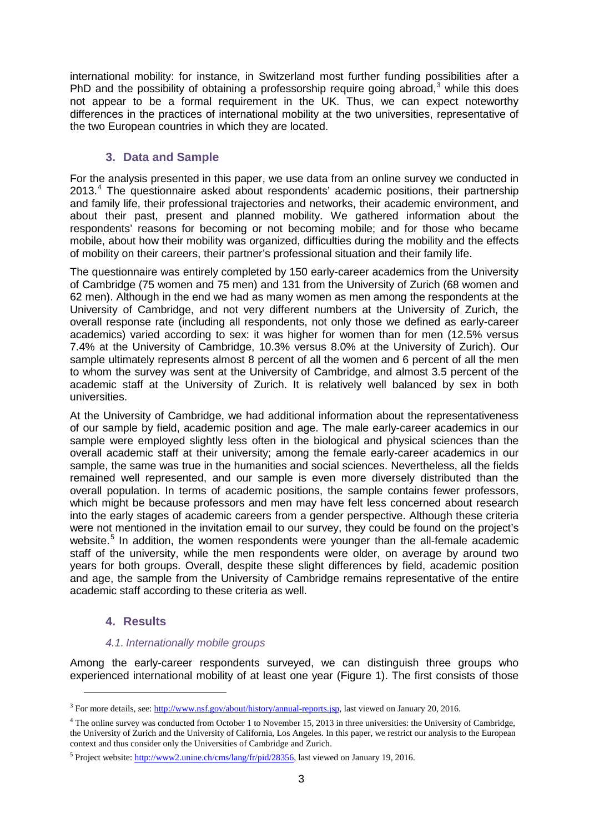international mobility: for instance, in Switzerland most further funding possibilities after a PhD and the possibility of obtaining a professorship require going abroad,<sup>[3](#page-5-0)</sup> while this does not appear to be a formal requirement in the UK. Thus, we can expect noteworthy differences in the practices of international mobility at the two universities, representative of the two European countries in which they are located.

# **3. Data and Sample**

For the analysis presented in this paper, we use data from an online survey we conducted in 2013.<sup>[4](#page-5-1)</sup> The questionnaire asked about respondents' academic positions, their partnership and family life, their professional trajectories and networks, their academic environment, and about their past, present and planned mobility. We gathered information about the respondents' reasons for becoming or not becoming mobile; and for those who became mobile, about how their mobility was organized, difficulties during the mobility and the effects of mobility on their careers, their partner's professional situation and their family life.

The questionnaire was entirely completed by 150 early-career academics from the University of Cambridge (75 women and 75 men) and 131 from the University of Zurich (68 women and 62 men). Although in the end we had as many women as men among the respondents at the University of Cambridge, and not very different numbers at the University of Zurich, the overall response rate (including all respondents, not only those we defined as early-career academics) varied according to sex: it was higher for women than for men (12.5% versus 7.4% at the University of Cambridge, 10.3% versus 8.0% at the University of Zurich). Our sample ultimately represents almost 8 percent of all the women and 6 percent of all the men to whom the survey was sent at the University of Cambridge, and almost 3.5 percent of the academic staff at the University of Zurich. It is relatively well balanced by sex in both universities.

At the University of Cambridge, we had additional information about the representativeness of our sample by field, academic position and age. The male early-career academics in our sample were employed slightly less often in the biological and physical sciences than the overall academic staff at their university; among the female early-career academics in our sample, the same was true in the humanities and social sciences. Nevertheless, all the fields remained well represented, and our sample is even more diversely distributed than the overall population. In terms of academic positions, the sample contains fewer professors, which might be because professors and men may have felt less concerned about research into the early stages of academic careers from a gender perspective. Although these criteria were not mentioned in the invitation email to our survey, they could be found on the project's website.<sup>[5](#page-5-2)</sup> In addition, the women respondents were younger than the all-female academic staff of the university, while the men respondents were older, on average by around two years for both groups. Overall, despite these slight differences by field, academic position and age, the sample from the University of Cambridge remains representative of the entire academic staff according to these criteria as well.

# **4. Results**

-

## *4.1. Internationally mobile groups*

Among the early-career respondents surveyed, we can distinguish three groups who experienced international mobility of at least one year (Figure 1). The first consists of those

<span id="page-5-0"></span><sup>3</sup> For more details, see: [http://www.nsf.gov/about/history/annual-reports.jsp,](http://www.nsf.gov/about/history/annual-reports.jsp) last viewed on January 20, 2016.

<span id="page-5-1"></span><sup>&</sup>lt;sup>4</sup> The online survey was conducted from October 1 to November 15, 2013 in three universities: the University of Cambridge, the University of Zurich and the University of California, Los Angeles. In this paper, we restrict our analysis to the European context and thus consider only the Universities of Cambridge and Zurich.

<span id="page-5-2"></span><sup>&</sup>lt;sup>5</sup> Project website: [http://www2.unine.ch/cms/lang/fr/pid/28356,](http://www2.unine.ch/cms/lang/fr/pid/28356) last viewed on January 19, 2016.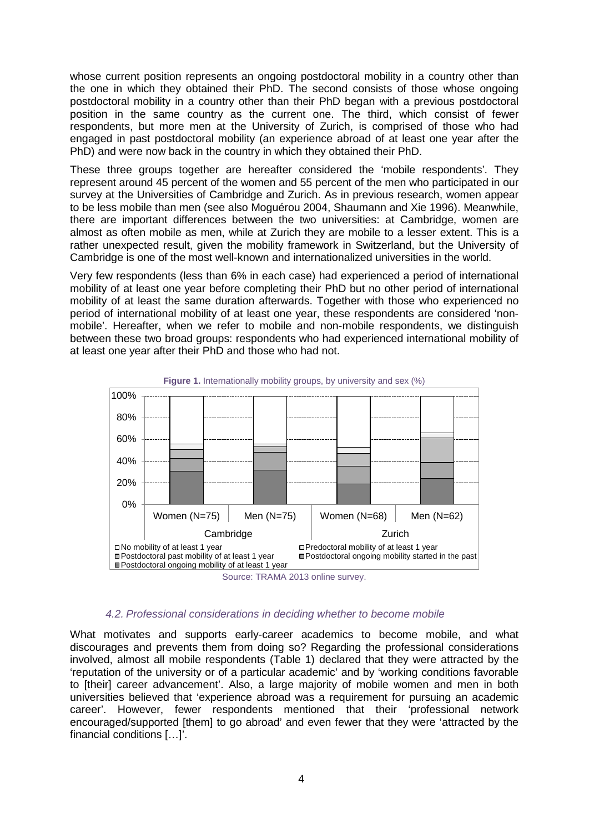whose current position represents an ongoing postdoctoral mobility in a country other than the one in which they obtained their PhD. The second consists of those whose ongoing postdoctoral mobility in a country other than their PhD began with a previous postdoctoral position in the same country as the current one. The third, which consist of fewer respondents, but more men at the University of Zurich, is comprised of those who had engaged in past postdoctoral mobility (an experience abroad of at least one year after the PhD) and were now back in the country in which they obtained their PhD.

These three groups together are hereafter considered the 'mobile respondents'. They represent around 45 percent of the women and 55 percent of the men who participated in our survey at the Universities of Cambridge and Zurich. As in previous research, women appear to be less mobile than men (see also Moguérou 2004, Shaumann and Xie 1996). Meanwhile, there are important differences between the two universities: at Cambridge, women are almost as often mobile as men, while at Zurich they are mobile to a lesser extent. This is a rather unexpected result, given the mobility framework in Switzerland, but the University of Cambridge is one of the most well-known and internationalized universities in the world.

Very few respondents (less than 6% in each case) had experienced a period of international mobility of at least one year before completing their PhD but no other period of international mobility of at least the same duration afterwards. Together with those who experienced no period of international mobility of at least one year, these respondents are considered 'nonmobile'. Hereafter, when we refer to mobile and non-mobile respondents, we distinguish between these two broad groups: respondents who had experienced international mobility of at least one year after their PhD and those who had not.



**Figure 1.** Internationally mobility groups, by university and sex (%)

#### *4.2. Professional considerations in deciding whether to become mobile*

What motivates and supports early-career academics to become mobile, and what discourages and prevents them from doing so? Regarding the professional considerations involved, almost all mobile respondents (Table 1) declared that they were attracted by the 'reputation of the university or of a particular academic' and by 'working conditions favorable to [their] career advancement'. Also, a large majority of mobile women and men in both universities believed that 'experience abroad was a requirement for pursuing an academic career'. However, fewer respondents mentioned that their 'professional network encouraged/supported [them] to go abroad' and even fewer that they were 'attracted by the financial conditions […]'.

Source: TRAMA 2013 online survey.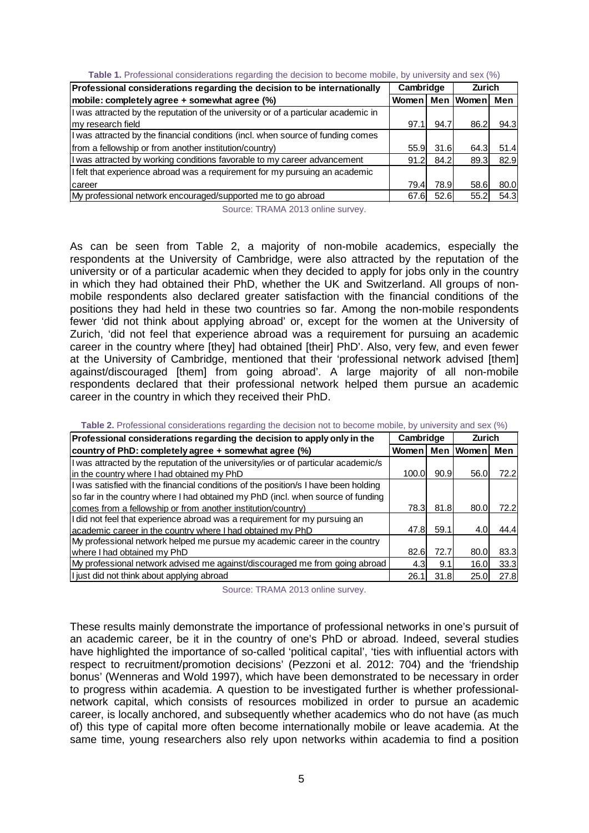| Professional considerations regarding the decision to be internationally           | Cambridge           |      | <b>Zurich</b> |      |
|------------------------------------------------------------------------------------|---------------------|------|---------------|------|
| mobile: completely agree + somewhat agree (%)                                      | Women   Men   Women |      |               | Men  |
| I was attracted by the reputation of the university or of a particular academic in |                     |      |               |      |
| Imy research field                                                                 | 97.1                | 94.7 | 86.2          | 94.3 |
| I was attracted by the financial conditions (incl. when source of funding comes    |                     |      |               |      |
| from a fellowship or from another institution/country)                             | 55.9                | 31.6 | 64.3          | 51.4 |
| I was attracted by working conditions favorable to my career advancement           | 91.2                | 84.2 | 89.3          | 82.9 |
| If felt that experience abroad was a requirement for my pursuing an academic       |                     |      |               |      |
| Icareer                                                                            | 79.4                | 78.9 | 58.6          | 80.0 |
| My professional network encouraged/supported me to go abroad                       | 67.6                | 52.6 | 55.2          | 54.3 |

|  | Table 1. Professional considerations regarding the decision to become mobile, by university and sex (%) |  |  |  |  |
|--|---------------------------------------------------------------------------------------------------------|--|--|--|--|
|  |                                                                                                         |  |  |  |  |

Source: TRAMA 2013 online survey.

As can be seen from Table 2, a majority of non-mobile academics, especially the respondents at the University of Cambridge, were also attracted by the reputation of the university or of a particular academic when they decided to apply for jobs only in the country in which they had obtained their PhD, whether the UK and Switzerland. All groups of nonmobile respondents also declared greater satisfaction with the financial conditions of the positions they had held in these two countries so far. Among the non-mobile respondents fewer 'did not think about applying abroad' or, except for the women at the University of Zurich, 'did not feel that experience abroad was a requirement for pursuing an academic career in the country where [they] had obtained [their] PhD'. Also, very few, and even fewer at the University of Cambridge, mentioned that their 'professional network advised [them] against/discouraged [them] from going abroad'. A large majority of all non-mobile respondents declared that their professional network helped them pursue an academic career in the country in which they received their PhD.

| Professional considerations regarding the decision to apply only in the             | Cambridge |      | Zurich      |      |
|-------------------------------------------------------------------------------------|-----------|------|-------------|------|
| country of PhD: completely agree + somewhat agree (%)                               | Womenl    |      | Men   Women | Men  |
| I was attracted by the reputation of the university/ies or of particular academic/s |           |      |             |      |
| in the country where I had obtained my PhD                                          | 100.0     | 90.9 | 56.0        | 72.2 |
| I was satisfied with the financial conditions of the position/s I have been holding |           |      |             |      |
| so far in the country where I had obtained my PhD (incl. when source of funding     |           |      |             |      |
| comes from a fellowship or from another institution/country)                        | 78.3I     | 81.8 | 80.0        | 72.2 |
| I did not feel that experience abroad was a requirement for my pursuing an          |           |      |             |      |
| academic career in the country where I had obtained my PhD                          | 47.8I     | 59.1 | 4.0         | 44.4 |
| My professional network helped me pursue my academic career in the country          |           |      |             |      |
| where I had obtained my PhD                                                         | 82.6      | 72.7 | 80.0        | 83.3 |
| My professional network advised me against/discouraged me from going abroad         | 4.3       | 9.1  | 16.0        | 33.3 |
| I just did not think about applying abroad                                          | 26.1      | 31.8 | 25.0        | 27.8 |

**Table 2.** Professional considerations regarding the decision not to become mobile, by university and sex (%)

Source: TRAMA 2013 online survey.

These results mainly demonstrate the importance of professional networks in one's pursuit of an academic career, be it in the country of one's PhD or abroad. Indeed, several studies have highlighted the importance of so-called 'political capital', 'ties with influential actors with respect to recruitment/promotion decisions' (Pezzoni et al. 2012: 704) and the 'friendship bonus' (Wenneras and Wold 1997), which have been demonstrated to be necessary in order to progress within academia. A question to be investigated further is whether professionalnetwork capital, which consists of resources mobilized in order to pursue an academic career, is locally anchored, and subsequently whether academics who do not have (as much of) this type of capital more often become internationally mobile or leave academia. At the same time, young researchers also rely upon networks within academia to find a position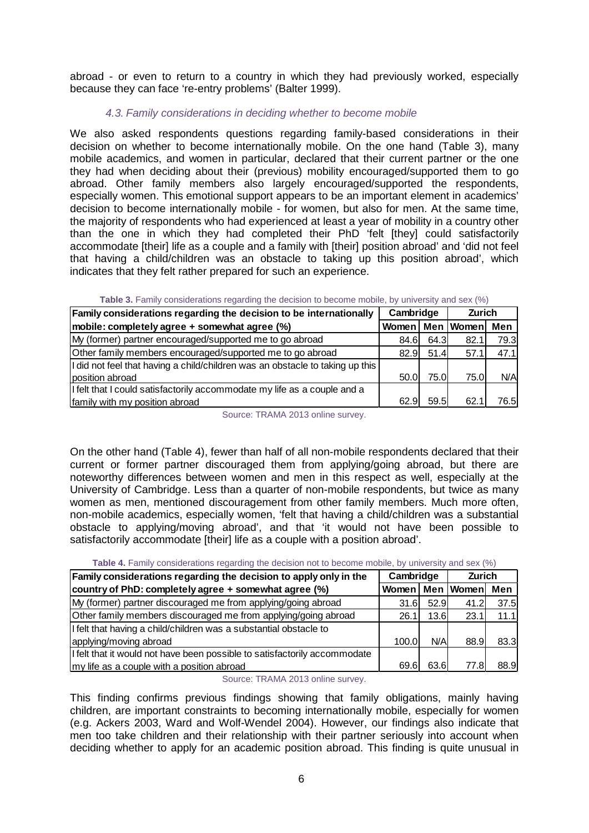abroad - or even to return to a country in which they had previously worked, especially because they can face 're-entry problems' (Balter 1999).

## *4.3. Family considerations in deciding whether to become mobile*

We also asked respondents questions regarding family-based considerations in their decision on whether to become internationally mobile. On the one hand (Table 3), many mobile academics, and women in particular, declared that their current partner or the one they had when deciding about their (previous) mobility encouraged/supported them to go abroad. Other family members also largely encouraged/supported the respondents, especially women. This emotional support appears to be an important element in academics' decision to become internationally mobile - for women, but also for men. At the same time, the majority of respondents who had experienced at least a year of mobility in a country other than the one in which they had completed their PhD 'felt [they] could satisfactorily accommodate [their] life as a couple and a family with [their] position abroad' and 'did not feel that having a child/children was an obstacle to taking up this position abroad', which indicates that they felt rather prepared for such an experience.

| Family considerations regarding the decision to be internationally            | Cambridge |           | <b>Zurich</b> |       |
|-------------------------------------------------------------------------------|-----------|-----------|---------------|-------|
| mobile: completely agree + somewhat agree (%)                                 | Women     |           | Men Women     | Men   |
| My (former) partner encouraged/supported me to go abroad                      | 84.6I     | 64.3I     | 82.1          | 79.3  |
| Other family members encouraged/supported me to go abroad                     |           | 82.9 51.4 | 57.1          | 47.1  |
| I did not feel that having a child/children was an obstacle to taking up this |           |           |               |       |
| position abroad                                                               | 50.0l     | 75.0      | 75.0          | N/A   |
| If felt that I could satisfactorily accommodate my life as a couple and a     |           |           |               |       |
| family with my position abroad                                                | 62.9I     | 59.5l     | 62.1          | 76.5I |

#### **Table 3.** Family considerations regarding the decision to become mobile, by university and sex (%)

Source: TRAMA 2013 online survey.

On the other hand (Table 4), fewer than half of all non-mobile respondents declared that their current or former partner discouraged them from applying/going abroad, but there are noteworthy differences between women and men in this respect as well, especially at the University of Cambridge. Less than a quarter of non-mobile respondents, but twice as many women as men, mentioned discouragement from other family members. Much more often, non-mobile academics, especially women, 'felt that having a child/children was a substantial obstacle to applying/moving abroad', and that 'it would not have been possible to satisfactorily accommodate [their] life as a couple with a position abroad'.

| Family considerations regarding the decision to apply only in the         | Cambridge |        |                     | <b>Zurich</b> |  |
|---------------------------------------------------------------------------|-----------|--------|---------------------|---------------|--|
| country of PhD: completely agree + somewhat agree (%)                     |           |        | Women   Men   Women | Men           |  |
| My (former) partner discouraged me from applying/going abroad             | 31.6      | -52.9I | 41.2                | 37.5          |  |
| Other family members discouraged me from applying/going abroad            | 26.1      | 13.6I  | 23.1                | 11.1          |  |
| I felt that having a child/children was a substantial obstacle to         |           |        |                     |               |  |
| applying/moving abroad                                                    | 100.0     | N/A    | 88.9                | 83.3          |  |
| I felt that it would not have been possible to satisfactorily accommodate |           |        |                     |               |  |
| my life as a couple with a position abroad                                | 69.6      | 63.6   | 77.8I               | 88.9          |  |

**Table 4.** Family considerations regarding the decision not to become mobile, by university and sex (%).

Source: TRAMA 2013 online survey.

This finding confirms previous findings showing that family obligations, mainly having children, are important constraints to becoming internationally mobile, especially for women (e.g. Ackers 2003, Ward and Wolf-Wendel 2004). However, our findings also indicate that men too take children and their relationship with their partner seriously into account when deciding whether to apply for an academic position abroad. This finding is quite unusual in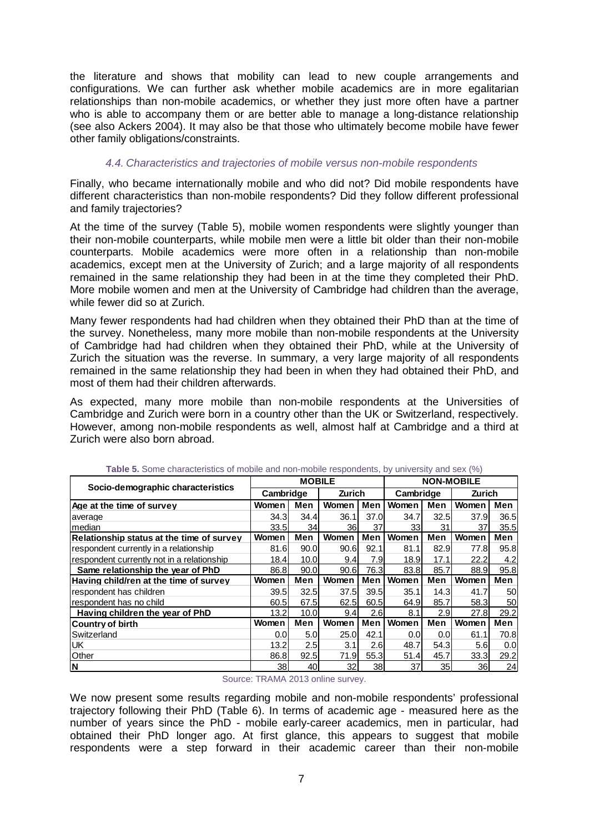the literature and shows that mobility can lead to new couple arrangements and configurations. We can further ask whether mobile academics are in more egalitarian relationships than non-mobile academics, or whether they just more often have a partner who is able to accompany them or are better able to manage a long-distance relationship (see also Ackers 2004). It may also be that those who ultimately become mobile have fewer other family obligations/constraints.

### *4.4. Characteristics and trajectories of mobile versus non-mobile respondents*

Finally, who became internationally mobile and who did not? Did mobile respondents have different characteristics than non-mobile respondents? Did they follow different professional and family trajectories?

At the time of the survey (Table 5), mobile women respondents were slightly younger than their non-mobile counterparts, while mobile men were a little bit older than their non-mobile counterparts. Mobile academics were more often in a relationship than non-mobile academics, except men at the University of Zurich; and a large majority of all respondents remained in the same relationship they had been in at the time they completed their PhD. More mobile women and men at the University of Cambridge had children than the average, while fewer did so at Zurich.

Many fewer respondents had had children when they obtained their PhD than at the time of the survey. Nonetheless, many more mobile than non-mobile respondents at the University of Cambridge had had children when they obtained their PhD, while at the University of Zurich the situation was the reverse. In summary, a very large majority of all respondents remained in the same relationship they had been in when they had obtained their PhD, and most of them had their children afterwards.

As expected, many more mobile than non-mobile respondents at the Universities of Cambridge and Zurich were born in a country other than the UK or Switzerland, respectively. However, among non-mobile respondents as well, almost half at Cambridge and a third at Zurich were also born abroad.

|                                            |           | <b>MOBILE</b>     |                 |            | <b>NON-MOBILE</b> |                  |        |      |
|--------------------------------------------|-----------|-------------------|-----------------|------------|-------------------|------------------|--------|------|
| Socio-demographic characteristics          | Cambridge |                   | Zurich          |            | Cambridge         |                  | Zurich |      |
| Age at the time of survey                  | Women     | Men               | Women           | Men        | Women             | Men              | Women  | Men  |
| average                                    | 34.31     | 34.4              | 36.1            | 37.0       | 34.7              | 32.5             | 37.9   | 36.5 |
| median                                     | 33.5      | 34                | 36I             | 37         | 33                | 31               | 37     | 35.5 |
| Relationship status at the time of survey  | Women     | Men               | Women           | <b>Men</b> | Women             | Men              | Women  | Men  |
| respondent currently in a relationship     | 81.6I     | 90.0              | 90.6            | 92.1       | 81.1              | 82.9             | 77.8   | 95.8 |
| respondent currently not in a relationship | 18.4      | 10.0 <sub>l</sub> | 9.4             | 7.91       | 18.9              | 17.1             | 22.2   | 4.2  |
| Same relationship the year of PhD          | 86.8      | 90.0              | 90.6            | 76.3       | 83.8              | 85.7             | 88.9   | 95.8 |
| Having child/ren at the time of survey     | Women     | Men               | Women           | Men        | Women             | Men              | Women  | Men  |
| respondent has children                    | 39.5      | 32.5              | 37.5I           | 39.5       | 35.1              | 14.31            | 41.7   | 50   |
| respondent has no child                    | 60.5      | 67.5              | 62.5            | 60.5       | 64.9              | 85.7             | 58.3   | 50   |
| Having children the year of PhD            | 13.2      | 10.0 <sub>l</sub> | 9.4             | 2.6        | 8.1               | 2.9              | 27.8   | 29.2 |
| <b>Country of birth</b>                    | Women     | Men               | Women           | Men        | Women             | Men              | Women  | Men  |
| Switzerland                                | 0.0       | 5.0               | 25.0            | 42.1       | 0.0               | 0.0 <sub>l</sub> | 61.1   | 70.8 |
| UK                                         | 13.2      | 2.5               | 3.1             | 2.6        | 48.7              | 54.3             | 5.6    | 0.0  |
| Other                                      | 86.8      | 92.5              | 71.9            | 55.3       | 51.4              | 45.7             | 33.3   | 29.2 |
| N                                          | 38        | 40                | 32 <sup>2</sup> | 38         | 37                | 35               | 36     | 24   |

**Table 5.** Some characteristics of mobile and non-mobile respondents, by university and sex (%)

Source: TRAMA 2013 online survey.

We now present some results regarding mobile and non-mobile respondents' professional trajectory following their PhD (Table 6). In terms of academic age - measured here as the number of years since the PhD - mobile early-career academics, men in particular, had obtained their PhD longer ago. At first glance, this appears to suggest that mobile respondents were a step forward in their academic career than their non-mobile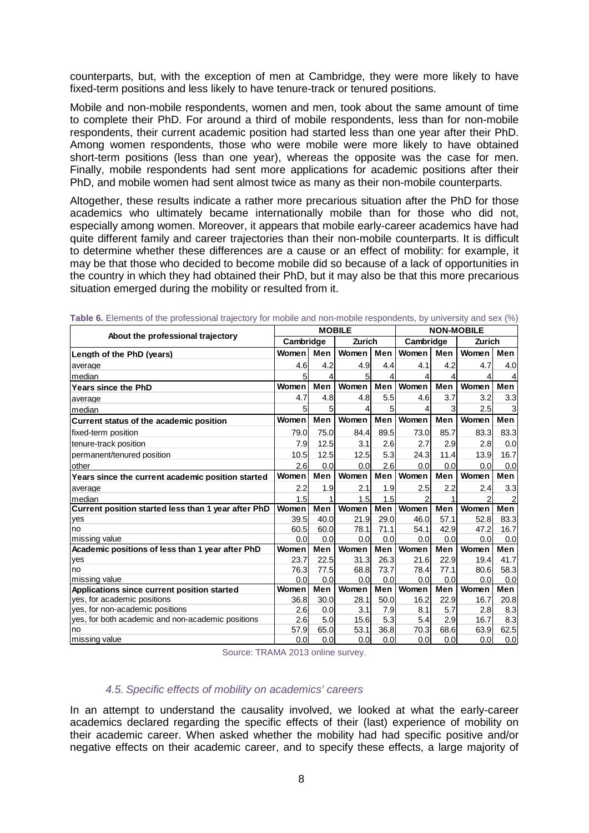counterparts, but, with the exception of men at Cambridge, they were more likely to have fixed-term positions and less likely to have tenure-track or tenured positions.

Mobile and non-mobile respondents, women and men, took about the same amount of time to complete their PhD. For around a third of mobile respondents, less than for non-mobile respondents, their current academic position had started less than one year after their PhD. Among women respondents, those who were mobile were more likely to have obtained short-term positions (less than one year), whereas the opposite was the case for men. Finally, mobile respondents had sent more applications for academic positions after their PhD, and mobile women had sent almost twice as many as their non-mobile counterparts.

Altogether, these results indicate a rather more precarious situation after the PhD for those academics who ultimately became internationally mobile than for those who did not, especially among women. Moreover, it appears that mobile early-career academics have had quite different family and career trajectories than their non-mobile counterparts. It is difficult to determine whether these differences are a cause or an effect of mobility: for example, it may be that those who decided to become mobile did so because of a lack of opportunities in the country in which they had obtained their PhD, but it may also be that this more precarious situation emerged during the mobility or resulted from it.

|                                                     |           |      | <b>MOBILE</b> |      |           |      | <b>NON-MOBILE</b> |      |  |  |
|-----------------------------------------------------|-----------|------|---------------|------|-----------|------|-------------------|------|--|--|
| About the professional trajectory                   | Cambridge |      | Zurich        |      | Cambridge |      | Zurich            |      |  |  |
| Length of the PhD (years)                           | Women     | Men  | Women         | Men  | Women     | Men  | Women             | Men  |  |  |
| average                                             | 4.6       | 4.2  | 4.9           | 4.4  | 4.1       | 4.2  | 4.7               | 4.0  |  |  |
| median                                              | 5         | 4    | 5             | 4    | 4         | 4    |                   |      |  |  |
| <b>Years since the PhD</b>                          | Women     | Men  | Women         | Men  | Women     | Men  | Women             | Men  |  |  |
| average                                             | 4.7       | 4.8  | 4.8           | 5.5  | 4.6       | 3.7  | 3.2               | 3.3  |  |  |
| median                                              | 5         | 5    | 4             | 5    | 4         | 3    | 2.5               | 3    |  |  |
| Current status of the academic position             | Women     | Men  | Women         | Men  | Women     | Men  | Women             | Men  |  |  |
| fixed-term position                                 | 79.0      | 75.0 | 84.4          | 89.5 | 73.0      | 85.7 | 83.3              | 83.3 |  |  |
| tenure-track position                               | 7.9       | 12.5 | 3.1           | 2.6  | 2.7       | 2.9  | 2.8               | 0.0  |  |  |
| permanent/tenured position                          | 10.5      | 12.5 | 12.5          | 5.3  | 24.3      | 11.4 | 13.9              | 16.7 |  |  |
| other                                               | 2.6       | 0.0  | 0.0           | 2.6  | 0.0       | 0.0  | 0.0               | 0.0  |  |  |
| Years since the current academic position started   | Women     | Men  | Women         | Men  | Women     | Men  | Women             | Men  |  |  |
| average                                             | 2.2       | 1.9  | 2.1           | 1.9  | 2.5       | 2.2  | 2.4               | 3.3  |  |  |
| median                                              | 1.5       |      | 1.5           | 1.5  | 2         |      |                   |      |  |  |
| Current position started less than 1 year after PhD | Women     | Men  | Women         | Men  | Women     | Men  | Women             | Men  |  |  |
| yes                                                 | 39.5      | 40.0 | 21.9          | 29.0 | 46.0      | 57.1 | 52.8              | 83.3 |  |  |
| no                                                  | 60.5      | 60.0 | 78.1          | 71.1 | 54.1      | 42.9 | 47.2              | 16.7 |  |  |
| missing value                                       | 0.0       | 0.0  | 0.0           | 0.0  | 0.0       | 0.0  | 0.0               | 0.0  |  |  |
| Academic positions of less than 1 year after PhD    | Women     | Men  | Women         | Men  | Women     | Men  | Women             | Men  |  |  |
| yes                                                 | 23.7      | 22.5 | 31.3          | 26.3 | 21.6      | 22.9 | 19.4              | 41.7 |  |  |
| no                                                  | 76.3      | 77.5 | 68.8          | 73.7 | 78.4      | 77.1 | 80.6              | 58.3 |  |  |
| missing value                                       | 0.0       | 0.0  | 0.0           | 0.0  | 0.0       | 0.0  | 0.0               | 0.0  |  |  |
| Applications since current position started         | Women     | Men  | Women         | Men  | Women     | Men  | Women             | Men  |  |  |
| yes, for academic positions                         | 36.8      | 30.0 | 28.1          | 50.0 | 16.2      | 22.9 | 16.7              | 20.8 |  |  |
| yes, for non-academic positions                     | 2.6       | 0.0  | 3.1           | 7.9  | 8.1       | 5.7  | 2.8               | 8.3  |  |  |
| yes, for both academic and non-academic positions   | 2.6       | 5.0  | 15.6          | 5.3  | 5.4       | 2.9  | 16.7              | 8.3  |  |  |
| no                                                  | 57.9      | 65.0 | 53.1          | 36.8 | 70.3      | 68.6 | 63.9              | 62.5 |  |  |
| missing value                                       | 0.0       | 0.0  | 0.0           | 0.0  | 0.0       | 0.0  | 0.0               | 0.0  |  |  |

**Table 6.** Elements of the professional trajectory for mobile and non-mobile respondents, by university and sex (%)

Source: TRAMA 2013 online survey.

## *4.5. Specific effects of mobility on academics' careers*

In an attempt to understand the causality involved, we looked at what the early-career academics declared regarding the specific effects of their (last) experience of mobility on their academic career. When asked whether the mobility had had specific positive and/or negative effects on their academic career, and to specify these effects, a large majority of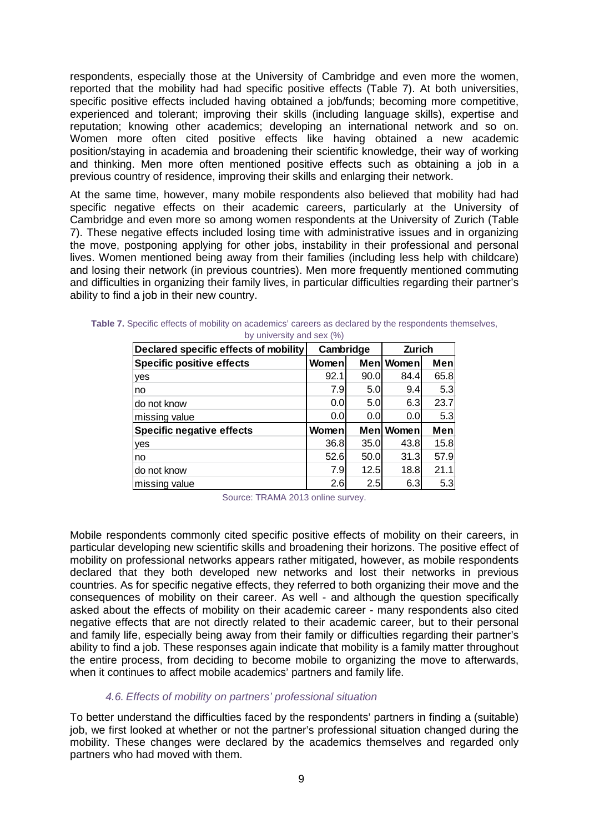respondents, especially those at the University of Cambridge and even more the women, reported that the mobility had had specific positive effects (Table 7). At both universities, specific positive effects included having obtained a job/funds; becoming more competitive, experienced and tolerant; improving their skills (including language skills), expertise and reputation; knowing other academics; developing an international network and so on. Women more often cited positive effects like having obtained a new academic position/staying in academia and broadening their scientific knowledge, their way of working and thinking. Men more often mentioned positive effects such as obtaining a job in a previous country of residence, improving their skills and enlarging their network.

At the same time, however, many mobile respondents also believed that mobility had had specific negative effects on their academic careers, particularly at the University of Cambridge and even more so among women respondents at the University of Zurich (Table 7). These negative effects included losing time with administrative issues and in organizing the move, postponing applying for other jobs, instability in their professional and personal lives. Women mentioned being away from their families (including less help with childcare) and losing their network (in previous countries). Men more frequently mentioned commuting and difficulties in organizing their family lives, in particular difficulties regarding their partner's ability to find a job in their new country.

| Declared specific effects of mobility | Cambridge |      | Zurich    |      |  |
|---------------------------------------|-----------|------|-----------|------|--|
| <b>Specific positive effects</b>      | Women     |      | Men Women | Men  |  |
| yes                                   | 92.1      | 90.0 | 84.4l     | 65.8 |  |
| no                                    | 7.9       | 5.0  | 9.4       | 5.3  |  |
| do not know                           | 0.01      | 5.0  | 6.3       | 23.7 |  |
| missing value                         | 0.0       | 0.0  | 0.01      | 5.3  |  |
| <b>Specific negative effects</b>      | Women     |      | Men Women | Men  |  |
| yes                                   | 36.8      | 35.0 | 43.8      | 15.8 |  |
| no                                    | 52.6      | 50.0 | 31.3      | 57.9 |  |
| do not know                           | 7.9       | 12.5 | 18.8      | 21.1 |  |
| missing value                         | 2.6       | 2.5  | 6.3       | 5.3  |  |

|  |  |                              |  |  | Table 7. Specific effects of mobility on academics' careers as declared by the respondents themselves, |  |
|--|--|------------------------------|--|--|--------------------------------------------------------------------------------------------------------|--|
|  |  | by university and sex $(% )$ |  |  |                                                                                                        |  |

Source: TRAMA 2013 online survey.

Mobile respondents commonly cited specific positive effects of mobility on their careers, in particular developing new scientific skills and broadening their horizons. The positive effect of mobility on professional networks appears rather mitigated, however, as mobile respondents declared that they both developed new networks and lost their networks in previous countries. As for specific negative effects, they referred to both organizing their move and the consequences of mobility on their career. As well - and although the question specifically asked about the effects of mobility on their academic career - many respondents also cited negative effects that are not directly related to their academic career, but to their personal and family life, especially being away from their family or difficulties regarding their partner's ability to find a job. These responses again indicate that mobility is a family matter throughout the entire process, from deciding to become mobile to organizing the move to afterwards, when it continues to affect mobile academics' partners and family life.

### *4.6. Effects of mobility on partners' professional situation*

To better understand the difficulties faced by the respondents' partners in finding a (suitable) job, we first looked at whether or not the partner's professional situation changed during the mobility. These changes were declared by the academics themselves and regarded only partners who had moved with them.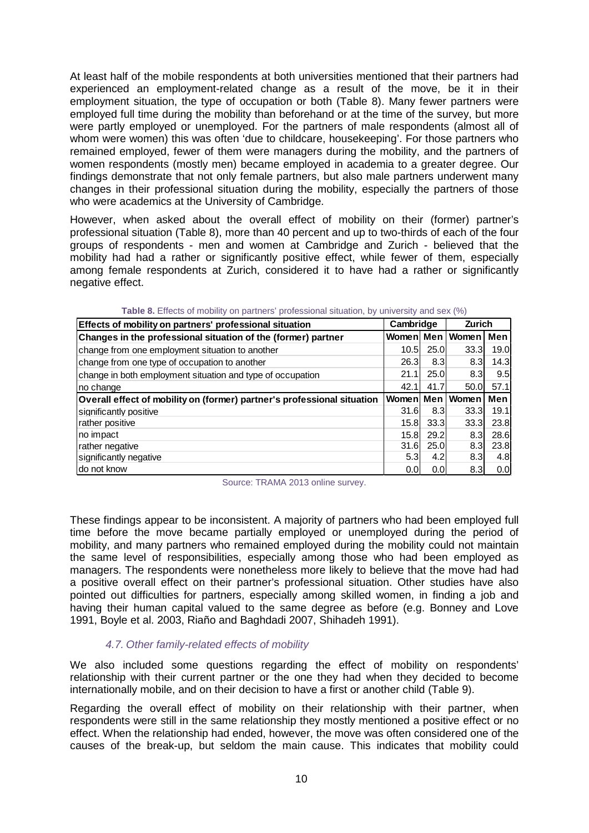At least half of the mobile respondents at both universities mentioned that their partners had experienced an employment-related change as a result of the move, be it in their employment situation, the type of occupation or both (Table 8). Many fewer partners were employed full time during the mobility than beforehand or at the time of the survey, but more were partly employed or unemployed. For the partners of male respondents (almost all of whom were women) this was often 'due to childcare, housekeeping'. For those partners who remained employed, fewer of them were managers during the mobility, and the partners of women respondents (mostly men) became employed in academia to a greater degree. Our findings demonstrate that not only female partners, but also male partners underwent many changes in their professional situation during the mobility, especially the partners of those who were academics at the University of Cambridge.

However, when asked about the overall effect of mobility on their (former) partner's professional situation (Table 8), more than 40 percent and up to two-thirds of each of the four groups of respondents - men and women at Cambridge and Zurich - believed that the mobility had had a rather or significantly positive effect, while fewer of them, especially among female respondents at Zurich, considered it to have had a rather or significantly negative effect.

| Effects of mobility on partners' professional situation                 | Cambridge        |      | <b>Zurich</b>      |                   |
|-------------------------------------------------------------------------|------------------|------|--------------------|-------------------|
| Changes in the professional situation of the (former) partner           |                  |      | Womenl Men   Women | Men               |
| change from one employment situation to another                         | 10.5             | 25.0 | 33.3 <sub>l</sub>  | 19.0 <sub>l</sub> |
| change from one type of occupation to another                           | <b>26.3</b>      | 8.3  | 8.3                | 14.3              |
| change in both employment situation and type of occupation              | 21.1             | 25.0 | 8.3 <sub>l</sub>   | 9.5               |
| Ino change                                                              | 42.1             | 41.7 | 50.0               | 57.1              |
| Overall effect of mobility on (former) partner's professional situation | Womenl           |      | Men Women          | Men               |
| significantly positive                                                  | 31.6             | 8.3  | 33.3               | 19.1              |
| rather positive                                                         | 15.8l            | 33.3 | 33.3               | 23.8              |
| no impact                                                               | 15.8             | 29.2 | 8.3                | 28.6              |
| rather negative                                                         | 31.6             | 25.0 | 8.3                | 23.8              |
| significantly negative                                                  | 5.3 <sub>l</sub> | 4.2  | 8.3                | 4.8               |
| Ido not know                                                            | 0.0              | 0.0  | 8.3                | 0.0               |

|  | <b>Table 8.</b> Effects of mobility on partners' professional situation, by university and sex (%) |
|--|----------------------------------------------------------------------------------------------------|
|--|----------------------------------------------------------------------------------------------------|

Source: TRAMA 2013 online survey.

These findings appear to be inconsistent. A majority of partners who had been employed full time before the move became partially employed or unemployed during the period of mobility, and many partners who remained employed during the mobility could not maintain the same level of responsibilities, especially among those who had been employed as managers. The respondents were nonetheless more likely to believe that the move had had a positive overall effect on their partner's professional situation. Other studies have also pointed out difficulties for partners, especially among skilled women, in finding a job and having their human capital valued to the same degree as before (e.g. Bonney and Love 1991, Boyle et al. 2003, Riaño and Baghdadi 2007, Shihadeh 1991).

### *4.7. Other family-related effects of mobility*

We also included some questions regarding the effect of mobility on respondents' relationship with their current partner or the one they had when they decided to become internationally mobile, and on their decision to have a first or another child (Table 9).

Regarding the overall effect of mobility on their relationship with their partner, when respondents were still in the same relationship they mostly mentioned a positive effect or no effect. When the relationship had ended, however, the move was often considered one of the causes of the break-up, but seldom the main cause. This indicates that mobility could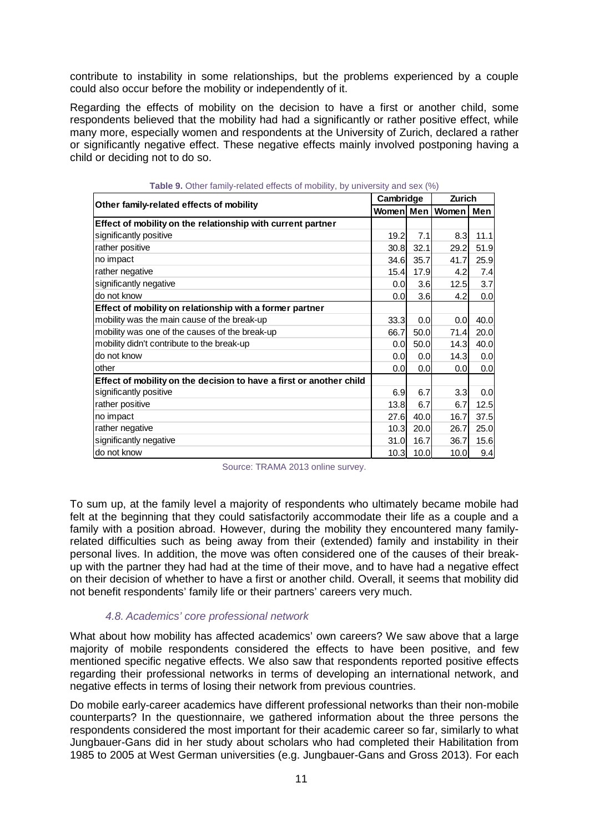contribute to instability in some relationships, but the problems experienced by a couple could also occur before the mobility or independently of it.

Regarding the effects of mobility on the decision to have a first or another child, some respondents believed that the mobility had had a significantly or rather positive effect, while many more, especially women and respondents at the University of Zurich, declared a rather or significantly negative effect. These negative effects mainly involved postponing having a child or deciding not to do so.

| Other family-related effects of mobility                            | Cambridge        |      | Zurich |      |
|---------------------------------------------------------------------|------------------|------|--------|------|
|                                                                     | Women Men        |      | Women  | Men  |
| Effect of mobility on the relationship with current partner         |                  |      |        |      |
| significantly positive                                              | 19.2             | 7.1  | 8.3    | 11.1 |
| rather positive                                                     | 30.8             | 32.1 | 29.2   | 51.9 |
| no impact                                                           | 34.6             | 35.7 | 41.7   | 25.9 |
| rather negative                                                     | 15.4             | 17.9 | 4.2    | 7.4  |
| significantly negative                                              | 0.0              | 3.6  | 12.5   | 3.7  |
| do not know                                                         | 0.0              | 3.6  | 4.2    | 0.0  |
| Effect of mobility on relationship with a former partner            |                  |      |        |      |
| mobility was the main cause of the break-up                         | 33.3             | 0.0  | 0.0    | 40.0 |
| mobility was one of the causes of the break-up                      | 66.7             | 50.0 | 71.4   | 20.0 |
| mobility didn't contribute to the break-up                          | 0.0 <sub>l</sub> | 50.0 | 14.3   | 40.0 |
| do not know                                                         | 0.0              | 0.0  | 14.3   | 0.0  |
| other                                                               | 0.0              | 0.0  | 0.0    | 0.0  |
| Effect of mobility on the decision to have a first or another child |                  |      |        |      |
| significantly positive                                              | 6.9              | 6.7  | 3.3    | 0.0  |
| rather positive                                                     | 13.8             | 6.7  | 6.7    | 12.5 |
| no impact                                                           | 27.6             | 40.0 | 16.7   | 37.5 |
| rather negative                                                     | 10.3             | 20.0 | 26.7   | 25.0 |
| significantly negative                                              | 31.0             | 16.7 | 36.7   | 15.6 |
| do not know                                                         | 10.3             | 10.0 | 10.0   | 9.4  |

**Table 9.** Other family-related effects of mobility, by university and sex (%)

Source: TRAMA 2013 online survey.

To sum up, at the family level a majority of respondents who ultimately became mobile had felt at the beginning that they could satisfactorily accommodate their life as a couple and a family with a position abroad. However, during the mobility they encountered many familyrelated difficulties such as being away from their (extended) family and instability in their personal lives. In addition, the move was often considered one of the causes of their breakup with the partner they had had at the time of their move, and to have had a negative effect on their decision of whether to have a first or another child. Overall, it seems that mobility did not benefit respondents' family life or their partners' careers very much.

### *4.8. Academics' core professional network*

What about how mobility has affected academics' own careers? We saw above that a large majority of mobile respondents considered the effects to have been positive, and few mentioned specific negative effects. We also saw that respondents reported positive effects regarding their professional networks in terms of developing an international network, and negative effects in terms of losing their network from previous countries.

Do mobile early-career academics have different professional networks than their non-mobile counterparts? In the questionnaire, we gathered information about the three persons the respondents considered the most important for their academic career so far, similarly to what Jungbauer-Gans did in her study about scholars who had completed their Habilitation from 1985 to 2005 at West German universities (e.g. Jungbauer-Gans and Gross 2013). For each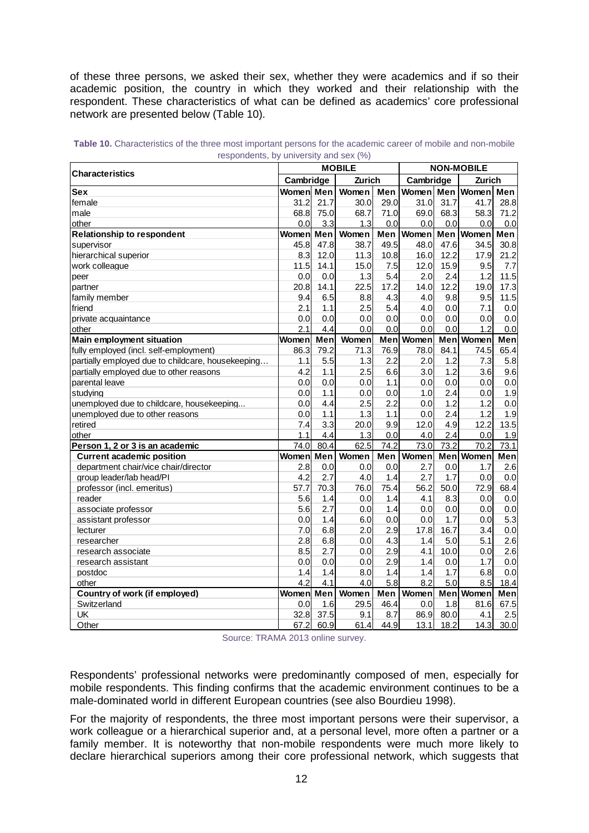of these three persons, we asked their sex, whether they were academics and if so their academic position, the country in which they worked and their relationship with the respondent. These characteristics of what can be defined as academics' core professional network are presented below (Table 10).

| <b>Characteristics</b>                            | <b>MOBILE</b> |      |        |      | <b>NON-MOBILE</b> |      |              |      |
|---------------------------------------------------|---------------|------|--------|------|-------------------|------|--------------|------|
|                                                   | Cambridge     |      | Zurich |      | Cambridge         |      | Zurich       |      |
| <b>Sex</b>                                        | Women Men     |      | Women  | Men  | Women Men         |      | Women Men    |      |
| female                                            | 31.2          | 21.7 | 30.0   | 29.0 | 31.0              | 31.7 | 41.7         | 28.8 |
| male                                              | 68.8          | 75.0 | 68.7   | 71.0 | 69.0              | 68.3 | 58.3         | 71.2 |
| other                                             | 0.0           | 3.3  | 1.3    | 0.0  | 0.0               | 0.0  | 0.0          | 0.0  |
| <b>Relationship to respondent</b>                 | Women         | Men  | Women  |      | Men Women         | Men  | Women        | Men  |
| supervisor                                        | 45.8          | 47.8 | 38.7   | 49.5 | 48.0              | 47.6 | 34.5         | 30.8 |
| hierarchical superior                             | 8.3           | 12.0 | 11.3   | 10.8 | 16.0              | 12.2 | 17.9         | 21.2 |
| work colleague                                    | 11.5          | 14.1 | 15.0   | 7.5  | 12.0              | 15.9 | 9.5          | 7.7  |
| peer                                              | 0.0           | 0.0  | 1.3    | 5.4  | 2.0               | 2.4  | 1.2          | 11.5 |
| partner                                           | 20.8          | 14.1 | 22.5   | 17.2 | 14.0              | 12.2 | 19.0         | 17.3 |
| family member                                     | 9.4           | 6.5  | 8.8    | 4.3  | 4.0               | 9.8  | 9.5          | 11.5 |
| friend                                            | 2.1           | 1.1  | 2.5    | 5.4  | 4.0               | 0.0  | 7.1          | 0.0  |
| private acquaintance                              | 0.0           | 0.0  | 0.0    | 0.0  | 0.0               | 0.0  | 0.0          | 0.0  |
| other                                             | 2.1           | 4.4  | 0.0    | 0.0  | 0.0               | 0.0  | 1.2          | 0.0  |
| <b>Main employment situation</b>                  | Women         | Men  | Women  |      | Men Women         | Men  | <b>Women</b> | Men  |
| fully employed (incl. self-employment)            | 86.3          | 79.2 | 71.3   | 76.9 | 78.0              | 84.1 | 74.5         | 65.4 |
| partially employed due to childcare, housekeeping | 1.1           | 5.5  | 1.3    | 2.2  | 2.0               | 1.2  | 7.3          | 5.8  |
| partially employed due to other reasons           | 4.2           | 1.1  | 2.5    | 6.6  | 3.0               | 1.2  | 3.6          | 9.6  |
| parental leave                                    | 0.0           | 0.0  | 0.0    | 1.1  | 0.0               | 0.0  | 0.0          | 0.0  |
| studying                                          | 0.0           | 1.1  | 0.0    | 0.0  | 1.0               | 2.4  | 0.0          | 1.9  |
| unemployed due to childcare, housekeeping         | 0.0           | 4.4  | 2.5    | 2.2  | 0.0               | 1.2  | 1.2          | 0.0  |
| unemployed due to other reasons                   | 0.0           | 1.1  | 1.3    | 1.1  | 0.0               | 2.4  | 1.2          | 1.9  |
| retired                                           | 7.4           | 3.3  | 20.0   | 9.9  | 12.0              | 4.9  | 12.2         | 13.5 |
| other                                             | 1.1           | 4.4  | 1.3    | 0.0  | 4.0               | 2.4  | 0.0          | 1.9  |
| Person 1, 2 or 3 is an academic                   | 74.0          | 80.4 | 62.5   | 74.2 | 73.0              | 73.2 | 70.2         | 73.1 |
| <b>Current academic position</b>                  | Women Men     |      | Women  | Men  | <b>Women</b>      | Men  | Women        | Men  |
| department chair/vice chair/director              | 2.8           | 0.0  | 0.0    | 0.0  | 2.7               | 0.0  | 1.7          | 2.6  |
| group leader/lab head/PI                          | 4.2           | 2.7  | 4.0    | 1.4  | 2.7               | 1.7  | 0.0          | 0.0  |
| professor (incl. emeritus)                        | 57.7          | 70.3 | 76.0   | 75.4 | 56.2              | 50.0 | 72.9         | 68.4 |
| reader                                            | 5.6           | 1.4  | 0.0    | 1.4  | 4.1               | 8.3  | 0.0          | 0.0  |
| associate professor                               | 5.6           | 2.7  | 0.0    | 1.4  | 0.0               | 0.0  | 0.0          | 0.0  |
| assistant professor                               | 0.0           | 1.4  | 6.0    | 0.0  | 0.0               | 1.7  | 0.0          | 5.3  |
| lecturer                                          | 7.0           | 6.8  | 2.0    | 2.9  | 17.8              | 16.7 | 3.4          | 0.0  |
| researcher                                        | 2.8           | 6.8  | 0.0    | 4.3  | 1.4               | 5.0  | 5.1          | 2.6  |
| research associate                                | 8.5           | 2.7  | 0.0    | 2.9  | 4.1               | 10.0 | 0.0          | 2.6  |
| research assistant                                | 0.0           | 0.0  | 0.0    | 2.9  | 1.4               | 0.0  | 1.7          | 0.0  |
| postdoc                                           | 1.4           | 1.4  | 8.0    | 1.4  | 1.4               | 1.7  | 6.8          | 0.0  |
| other                                             | 4.2           | 4.1  | 4.0    | 5.8  | 8.2               | 5.0  | 8.5          | 18.4 |
| Country of work (if employed)                     | Women Men     |      | Women  | Men  | Women             |      | Men Women    | Men  |
| Switzerland                                       | 0.0           | 1.6  | 29.5   | 46.4 | 0.0               | 1.8  | 81.6         | 67.5 |
| UK                                                | 32.8          | 37.5 | 9.1    | 8.7  | 86.9              | 80.0 | 4.1          | 2.5  |
| Other                                             | 67.2          | 60.9 | 61.4   | 44.9 | 13.1              | 18.2 | 14.3         | 30.0 |

**Table 10.** Characteristics of the three most important persons for the academic career of mobile and non-mobile respondents, by university and sex (%)

Source: TRAMA 2013 online survey.

Respondents' professional networks were predominantly composed of men, especially for mobile respondents. This finding confirms that the academic environment continues to be a male-dominated world in different European countries (see also Bourdieu 1998).

For the majority of respondents, the three most important persons were their supervisor, a work colleague or a hierarchical superior and, at a personal level, more often a partner or a family member. It is noteworthy that non-mobile respondents were much more likely to declare hierarchical superiors among their core professional network, which suggests that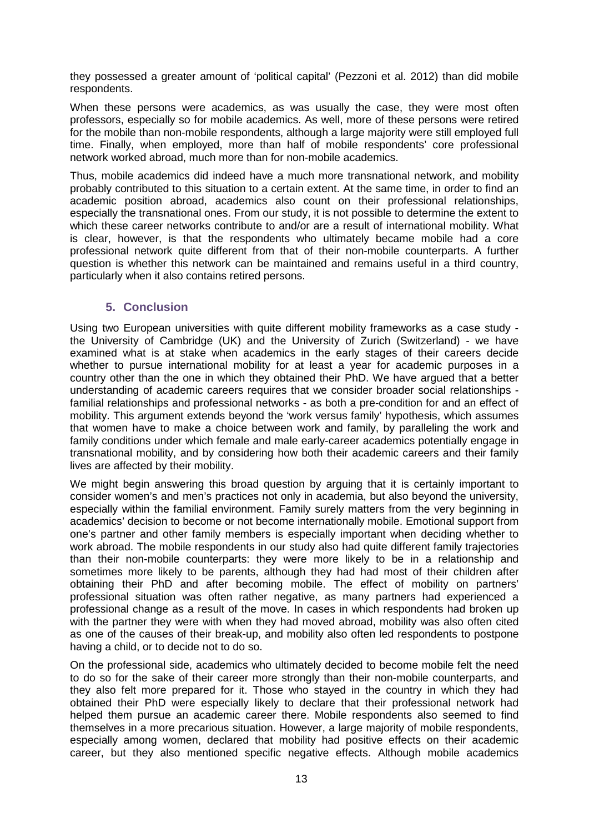they possessed a greater amount of 'political capital' (Pezzoni et al. 2012) than did mobile respondents.

When these persons were academics, as was usually the case, they were most often professors, especially so for mobile academics. As well, more of these persons were retired for the mobile than non-mobile respondents, although a large majority were still employed full time. Finally, when employed, more than half of mobile respondents' core professional network worked abroad, much more than for non-mobile academics.

Thus, mobile academics did indeed have a much more transnational network, and mobility probably contributed to this situation to a certain extent. At the same time, in order to find an academic position abroad, academics also count on their professional relationships, especially the transnational ones. From our study, it is not possible to determine the extent to which these career networks contribute to and/or are a result of international mobility. What is clear, however, is that the respondents who ultimately became mobile had a core professional network quite different from that of their non-mobile counterparts. A further question is whether this network can be maintained and remains useful in a third country, particularly when it also contains retired persons.

# **5. Conclusion**

Using two European universities with quite different mobility frameworks as a case study the University of Cambridge (UK) and the University of Zurich (Switzerland) - we have examined what is at stake when academics in the early stages of their careers decide whether to pursue international mobility for at least a year for academic purposes in a country other than the one in which they obtained their PhD. We have argued that a better understanding of academic careers requires that we consider broader social relationships familial relationships and professional networks - as both a pre-condition for and an effect of mobility. This argument extends beyond the 'work versus family' hypothesis, which assumes that women have to make a choice between work and family, by paralleling the work and family conditions under which female and male early-career academics potentially engage in transnational mobility, and by considering how both their academic careers and their family lives are affected by their mobility.

We might begin answering this broad question by arguing that it is certainly important to consider women's and men's practices not only in academia, but also beyond the university, especially within the familial environment. Family surely matters from the very beginning in academics' decision to become or not become internationally mobile. Emotional support from one's partner and other family members is especially important when deciding whether to work abroad. The mobile respondents in our study also had quite different family trajectories than their non-mobile counterparts: they were more likely to be in a relationship and sometimes more likely to be parents, although they had had most of their children after obtaining their PhD and after becoming mobile. The effect of mobility on partners' professional situation was often rather negative, as many partners had experienced a professional change as a result of the move. In cases in which respondents had broken up with the partner they were with when they had moved abroad, mobility was also often cited as one of the causes of their break-up, and mobility also often led respondents to postpone having a child, or to decide not to do so.

On the professional side, academics who ultimately decided to become mobile felt the need to do so for the sake of their career more strongly than their non-mobile counterparts, and they also felt more prepared for it. Those who stayed in the country in which they had obtained their PhD were especially likely to declare that their professional network had helped them pursue an academic career there. Mobile respondents also seemed to find themselves in a more precarious situation. However, a large majority of mobile respondents, especially among women, declared that mobility had positive effects on their academic career, but they also mentioned specific negative effects. Although mobile academics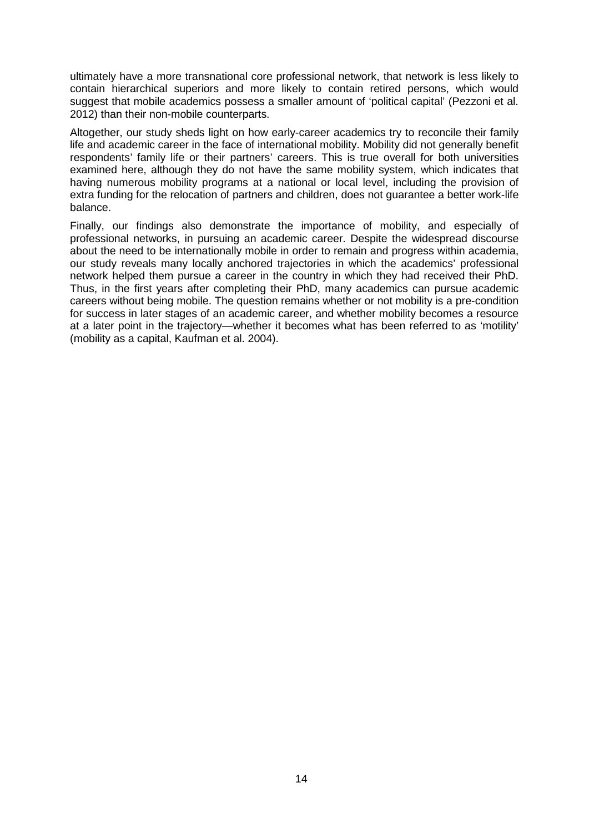ultimately have a more transnational core professional network, that network is less likely to contain hierarchical superiors and more likely to contain retired persons, which would suggest that mobile academics possess a smaller amount of 'political capital' (Pezzoni et al. 2012) than their non-mobile counterparts.

Altogether, our study sheds light on how early-career academics try to reconcile their family life and academic career in the face of international mobility. Mobility did not generally benefit respondents' family life or their partners' careers. This is true overall for both universities examined here, although they do not have the same mobility system, which indicates that having numerous mobility programs at a national or local level, including the provision of extra funding for the relocation of partners and children, does not guarantee a better work-life balance.

Finally, our findings also demonstrate the importance of mobility, and especially of professional networks, in pursuing an academic career. Despite the widespread discourse about the need to be internationally mobile in order to remain and progress within academia, our study reveals many locally anchored trajectories in which the academics' professional network helped them pursue a career in the country in which they had received their PhD. Thus, in the first years after completing their PhD, many academics can pursue academic careers without being mobile. The question remains whether or not mobility is a pre-condition for success in later stages of an academic career, and whether mobility becomes a resource at a later point in the trajectory—whether it becomes what has been referred to as 'motility' (mobility as a capital, Kaufman et al. 2004).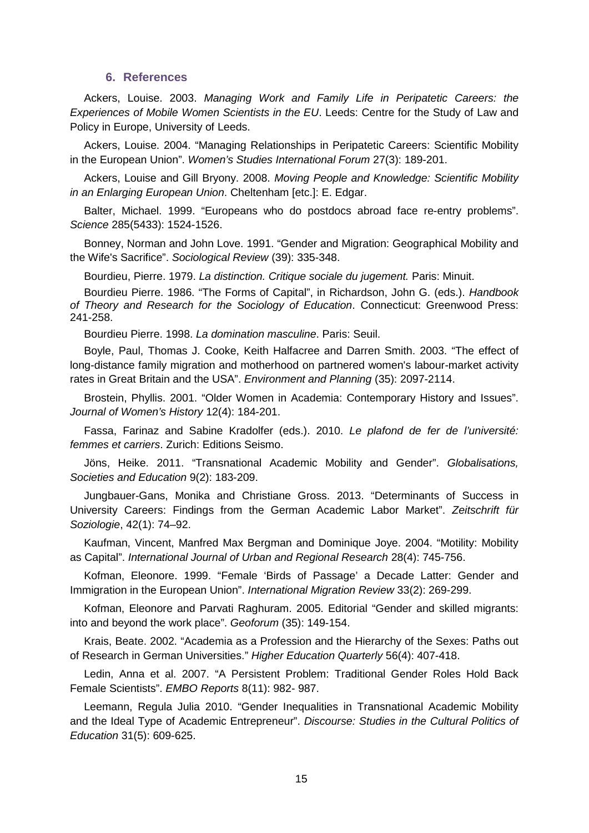### **6. References**

Ackers, Louise. 2003. *Managing Work and Family Life in Peripatetic Careers: the Experiences of Mobile Women Scientists in the EU*. Leeds: Centre for the Study of Law and Policy in Europe, University of Leeds.

Ackers, Louise. 2004. "Managing Relationships in Peripatetic Careers: Scientific Mobility in the European Union". *Women's Studies International Forum* 27(3): 189-201.

Ackers, Louise and Gill Bryony. 2008. *Moving People and Knowledge: Scientific Mobility in an Enlarging European Union*. Cheltenham [etc.]: E. Edgar.

Balter, Michael. 1999. "Europeans who do postdocs abroad face re-entry problems". *Science* 285(5433): 1524-1526.

Bonney, Norman and John Love. 1991. "Gender and Migration: Geographical Mobility and the Wife's Sacrifice". *Sociological Review* (39): 335-348.

Bourdieu, Pierre. 1979. *La distinction. Critique sociale du jugement.* Paris: Minuit.

Bourdieu Pierre. 1986. "The Forms of Capital", in Richardson, John G. (eds.). *Handbook of Theory and Research for the Sociology of Education*. Connecticut: Greenwood Press: 241-258.

Bourdieu Pierre. 1998. *La domination masculine*. Paris: Seuil.

Boyle, Paul, Thomas J. Cooke, Keith Halfacree and Darren Smith. 2003. "The effect of long-distance family migration and motherhood on partnered women's labour-market activity rates in Great Britain and the USA". *Environment and Planning* (35): 2097-2114.

Brostein, Phyllis. 2001. "Older Women in Academia: Contemporary History and Issues". *Journal of Women's History* 12(4): 184-201.

Fassa, Farinaz and Sabine Kradolfer (eds.). 2010. *Le plafond de fer de l'université: femmes et carriers*. Zurich: Editions Seismo.

Jöns, Heike. 2011. "Transnational Academic Mobility and Gender". *Globalisations, Societies and Education* 9(2): 183-209.

Jungbauer-Gans, Monika and Christiane Gross. 2013. "Determinants of Success in University Careers: Findings from the German Academic Labor Market". *Zeitschrift für Soziologie*, 42(1): 74–92.

Kaufman, Vincent, Manfred Max Bergman and Dominique Joye. 2004. "Motility: Mobility as Capital". *International Journal of Urban and Regional Research* 28(4): 745-756.

Kofman, Eleonore. 1999. "Female 'Birds of Passage' a Decade Latter: Gender and Immigration in the European Union". *International Migration Review* 33(2): 269-299.

Kofman, Eleonore and Parvati Raghuram. 2005. Editorial "Gender and skilled migrants: into and beyond the work place". *Geoforum* (35): 149-154.

Krais, Beate. 2002. "Academia as a Profession and the Hierarchy of the Sexes: Paths out of Research in German Universities." *Higher Education Quarterly* 56(4): 407-418.

Ledin, Anna et al. 2007. "A Persistent Problem: Traditional Gender Roles Hold Back Female Scientists". *EMBO Reports* 8(11): 982- 987.

Leemann, Regula Julia 2010. "Gender Inequalities in Transnational Academic Mobility and the Ideal Type of Academic Entrepreneur". *Discourse: Studies in the Cultural Politics of Education* 31(5): 609-625.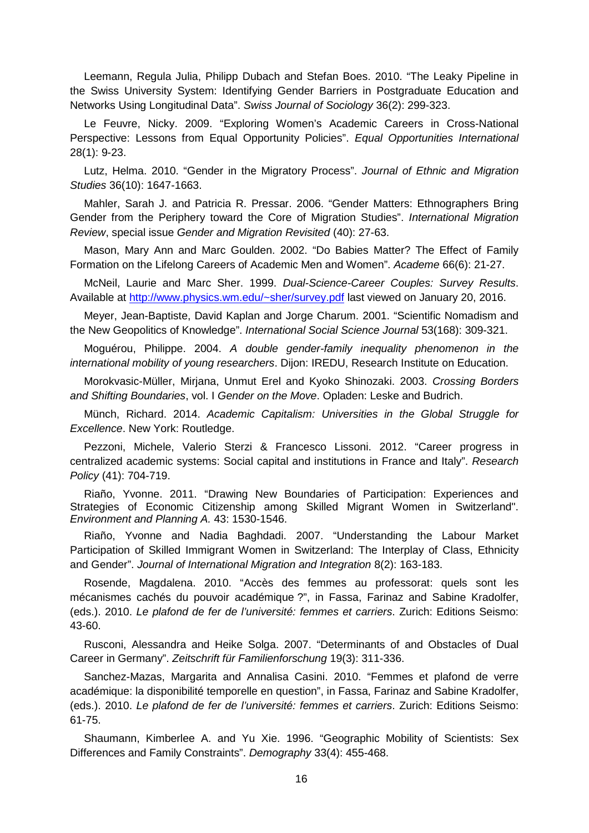Leemann, Regula Julia, Philipp Dubach and Stefan Boes. 2010. "The Leaky Pipeline in the Swiss University System: Identifying Gender Barriers in Postgraduate Education and Networks Using Longitudinal Data". *Swiss Journal of Sociology* 36(2): 299-323.

Le Feuvre, Nicky. 2009. "Exploring Women's Academic Careers in Cross-National Perspective: Lessons from Equal Opportunity Policies". *Equal Opportunities International* 28(1): 9-23.

Lutz, Helma. 2010. "Gender in the Migratory Process". *Journal of Ethnic and Migration Studies* 36(10): 1647-1663.

Mahler, Sarah J. and Patricia R. Pressar. 2006. "Gender Matters: Ethnographers Bring Gender from the Periphery toward the Core of Migration Studies". *International Migration Review*, special issue *Gender and Migration Revisited* (40): 27-63.

Mason, Mary Ann and Marc Goulden. 2002. "Do Babies Matter? The Effect of Family Formation on the Lifelong Careers of Academic Men and Women". *Academe* 66(6): 21-27.

McNeil, Laurie and Marc Sher. 1999. *Dual-Science-Career Couples: Survey Results*. Available at [http://www.physics.wm.edu/~sher/survey.pdf](http://www.physics.wm.edu/%7Esher/survey.pdf) last viewed on January 20, 2016.

Meyer, Jean-Baptiste, David Kaplan and Jorge Charum. 2001. "Scientific Nomadism and the New Geopolitics of Knowledge". *International Social Science Journal* 53(168): 309-321.

Moguérou, Philippe. 2004. *A double gender-family inequality phenomenon in the international mobility of young researchers*. Dijon: IREDU, Research Institute on Education.

Morokvasic-Müller, Mirjana, Unmut Erel and Kyoko Shinozaki. 2003. *Crossing Borders and Shifting Boundaries*, vol. I *Gender on the Move*. Opladen: Leske and Budrich.

Münch, Richard. 2014. *Academic Capitalism: Universities in the Global Struggle for Excellence*. New York: Routledge.

Pezzoni, Michele, Valerio Sterzi & Francesco Lissoni. 2012. "Career progress in centralized academic systems: Social capital and institutions in France and Italy". *Research Policy* (41): 704-719.

Riaño, Yvonne. 2011. "Drawing New Boundaries of Participation: Experiences and Strategies of Economic Citizenship among Skilled Migrant Women in Switzerland". *Environment and Planning A.* 43: 1530-1546.

Riaño, Yvonne and Nadia Baghdadi. 2007. "Understanding the Labour Market Participation of Skilled Immigrant Women in Switzerland: The Interplay of Class, Ethnicity and Gender". *Journal of International Migration and Integration* 8(2): 163-183.

Rosende, Magdalena. 2010. "Accès des femmes au professorat: quels sont les mécanismes cachés du pouvoir académique ?", in Fassa, Farinaz and Sabine Kradolfer, (eds.). 2010. *Le plafond de fer de l'université: femmes et carriers*. Zurich: Editions Seismo: 43-60.

Rusconi, Alessandra and Heike Solga. 2007. "Determinants of and Obstacles of Dual Career in Germany". *Zeitschrift für Familienforschung* 19(3): 311-336.

Sanchez-Mazas, Margarita and Annalisa Casini. 2010. "Femmes et plafond de verre académique: la disponibilité temporelle en question", in Fassa, Farinaz and Sabine Kradolfer, (eds.). 2010. *Le plafond de fer de l'université: femmes et carriers*. Zurich: Editions Seismo: 61-75.

Shaumann, Kimberlee A. and Yu Xie. 1996. "Geographic Mobility of Scientists: Sex Differences and Family Constraints". *Demography* 33(4): 455-468.